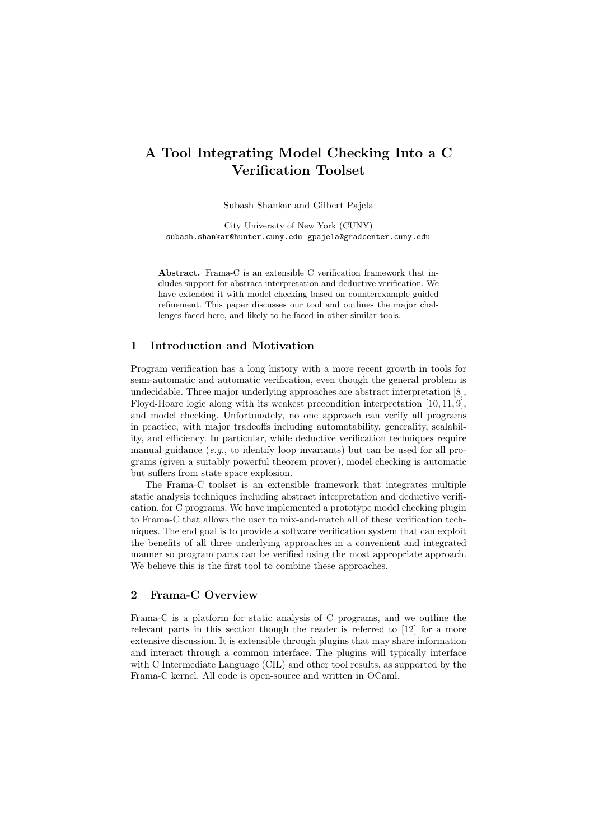# A Tool Integrating Model Checking Into a C Verification Toolset

Subash Shankar and Gilbert Pajela

City University of New York (CUNY) subash.shankar@hunter.cuny.edu gpajela@gradcenter.cuny.edu

Abstract. Frama-C is an extensible C verification framework that includes support for abstract interpretation and deductive verification. We have extended it with model checking based on counterexample guided refinement. This paper discusses our tool and outlines the major challenges faced here, and likely to be faced in other similar tools.

#### 1 Introduction and Motivation

Program verification has a long history with a more recent growth in tools for semi-automatic and automatic verification, even though the general problem is undecidable. Three major underlying approaches are abstract interpretation [8], Floyd-Hoare logic along with its weakest precondition interpretation [10, 11, 9], and model checking. Unfortunately, no one approach can verify all programs in practice, with major tradeoffs including automatability, generality, scalability, and efficiency. In particular, while deductive verification techniques require manual guidance  $(e.g., to identify loop invariants)$  but can be used for all programs (given a suitably powerful theorem prover), model checking is automatic but suffers from state space explosion.

The Frama-C toolset is an extensible framework that integrates multiple static analysis techniques including abstract interpretation and deductive verification, for C programs. We have implemented a prototype model checking plugin to Frama-C that allows the user to mix-and-match all of these verification techniques. The end goal is to provide a software verification system that can exploit the benefits of all three underlying approaches in a convenient and integrated manner so program parts can be verified using the most appropriate approach. We believe this is the first tool to combine these approaches.

### 2 Frama-C Overview

Frama-C is a platform for static analysis of C programs, and we outline the relevant parts in this section though the reader is referred to [12] for a more extensive discussion. It is extensible through plugins that may share information and interact through a common interface. The plugins will typically interface with C Intermediate Language (CIL) and other tool results, as supported by the Frama-C kernel. All code is open-source and written in OCaml.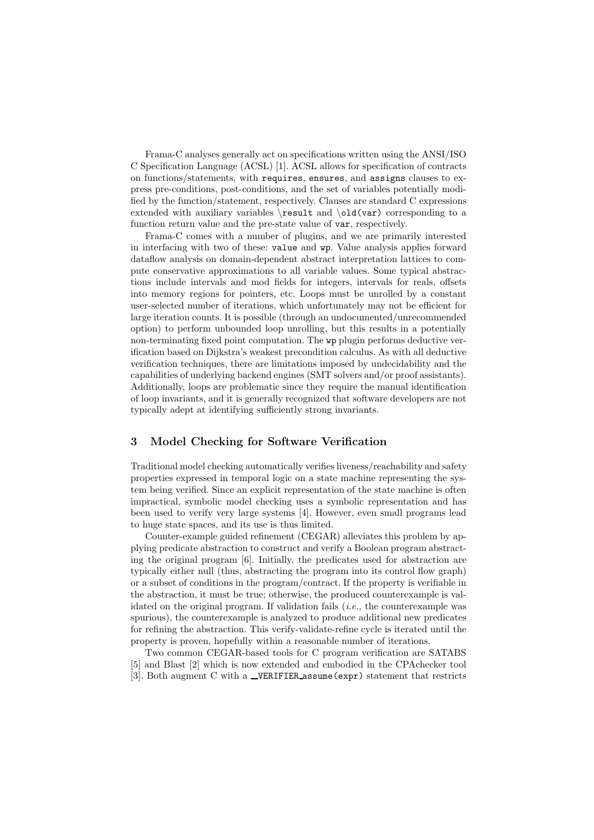Frama-C analyses generally act on specifications written using the ANSI/ISO C Specification Language (ACSL) [1]. ACSL allows for specification of contracts on functions/statements, with requires, ensures, and assigns clauses to express pre-conditions, post-conditions, and the set of variables potentially modified by the function/statement, respectively. Clauses are standard C expressions extended with auxiliary variables  $\text{and } \text{our}$  corresponding to a function return value and the pre-state value of var, respectively.

Frama-C comes with a number of plugins, and we are primarily interested in interfacing with two of these: value and wp. Value analysis applies forward dataflow analysis on domain-dependent abstract interpretation lattices to compute conservative approximations to all variable values. Some typical abstractions include intervals and mod fields for integers, intervals for reals, offsets into memory regions for pointers, etc. Loops must be unrolled by a constant user-selected number of iterations, which unfortunately may not be efficient for large iteration counts. It is possible (through an undocumented/unrecommended option) to perform unbounded loop unrolling, but this results in a potentially non-terminating fixed point computation. The wp plugin performs deductive verification based on Dijkstra's weakest precondition calculus. As with all deductive verification techniques, there are limitations imposed by undecidability and the capabilities of underlying backend engines (SMT solvers and/or proof assistants). Additionally, loops are problematic since they require the manual identification of loop invariants, and it is generally recognized that software developers are not typically adept at identifying sufficiently strong invariants.

## 3 Model Checking for Software Verification

Traditional model checking automatically verifies liveness/reachability and safety properties expressed in temporal logic on a state machine representing the system being verified. Since an explicit representation of the state machine is often impractical, symbolic model checking uses a symbolic representation and has been used to verify very large systems [4]. However, even small programs lead to huge state spaces, and its use is thus limited.

Counter-example guided refinement (CEGAR) alleviates this problem by applying predicate abstraction to construct and verify a Boolean program abstracting the original program [6]. Initially, the predicates used for abstraction are typically either null (thus, abstracting the program into its control flow graph) or a subset of conditions in the program/contract. If the property is verifiable in the abstraction, it must be true; otherwise, the produced counterexample is validated on the original program. If validation fails (i.e., the counterexample was spurious), the counterexample is analyzed to produce additional new predicates for refining the abstraction. This verify-validate-refine cycle is iterated until the property is proven, hopefully within a reasonable number of iterations.

Two common CEGAR-based tools for C program verification are SATABS [5] and Blast [2] which is now extended and embodied in the CPAchecker tool [3]. Both augment C with a \_VERIFIER assume (expr) statement that restricts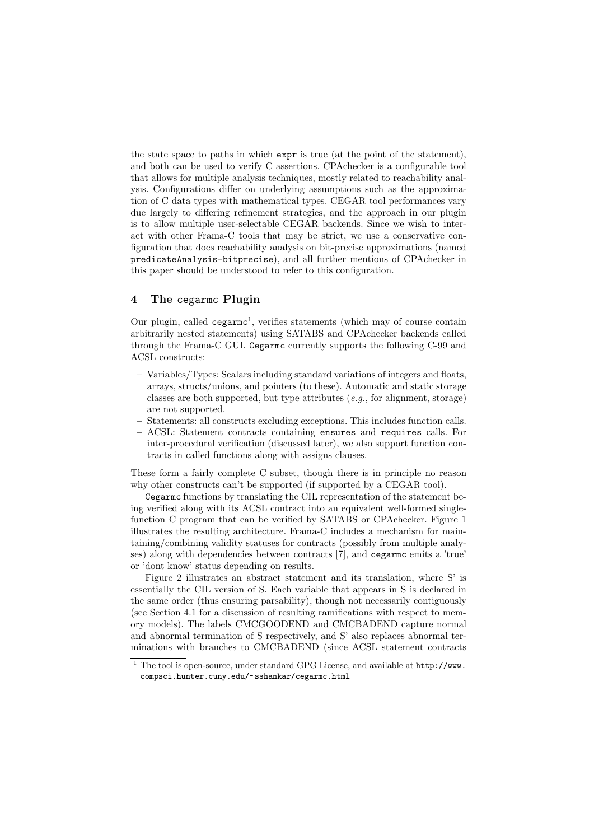the state space to paths in which expr is true (at the point of the statement), and both can be used to verify C assertions. CPAchecker is a configurable tool that allows for multiple analysis techniques, mostly related to reachability analysis. Configurations differ on underlying assumptions such as the approximation of C data types with mathematical types. CEGAR tool performances vary due largely to differing refinement strategies, and the approach in our plugin is to allow multiple user-selectable CEGAR backends. Since we wish to interact with other Frama-C tools that may be strict, we use a conservative configuration that does reachability analysis on bit-precise approximations (named predicateAnalysis-bitprecise), and all further mentions of CPAchecker in this paper should be understood to refer to this configuration.

## 4 The cegarmc Plugin

Our plugin, called cegarmc<sup>1</sup>, verifies statements (which may of course contain arbitrarily nested statements) using SATABS and CPAchecker backends called through the Frama-C GUI. Cegarmc currently supports the following C-99 and ACSL constructs:

- Variables/Types: Scalars including standard variations of integers and floats, arrays, structs/unions, and pointers (to these). Automatic and static storage classes are both supported, but type attributes  $(e.g., for alignment, storage)$ are not supported.
- Statements: all constructs excluding exceptions. This includes function calls.
- ACSL: Statement contracts containing ensures and requires calls. For inter-procedural verification (discussed later), we also support function contracts in called functions along with assigns clauses.

These form a fairly complete C subset, though there is in principle no reason why other constructs can't be supported (if supported by a CEGAR tool).

Cegarmc functions by translating the CIL representation of the statement being verified along with its ACSL contract into an equivalent well-formed singlefunction C program that can be verified by SATABS or CPAchecker. Figure 1 illustrates the resulting architecture. Frama-C includes a mechanism for maintaining/combining validity statuses for contracts (possibly from multiple analyses) along with dependencies between contracts [7], and cegarmc emits a 'true' or 'dont know' status depending on results.

Figure 2 illustrates an abstract statement and its translation, where S' is essentially the CIL version of S. Each variable that appears in S is declared in the same order (thus ensuring parsability), though not necessarily contiguously (see Section 4.1 for a discussion of resulting ramifications with respect to memory models). The labels CMCGOODEND and CMCBADEND capture normal and abnormal termination of S respectively, and S' also replaces abnormal terminations with branches to CMCBADEND (since ACSL statement contracts

 $\overline{1}$  The tool is open-source, under standard GPG License, and available at http://www. compsci.hunter.cuny.edu/~sshankar/cegarmc.html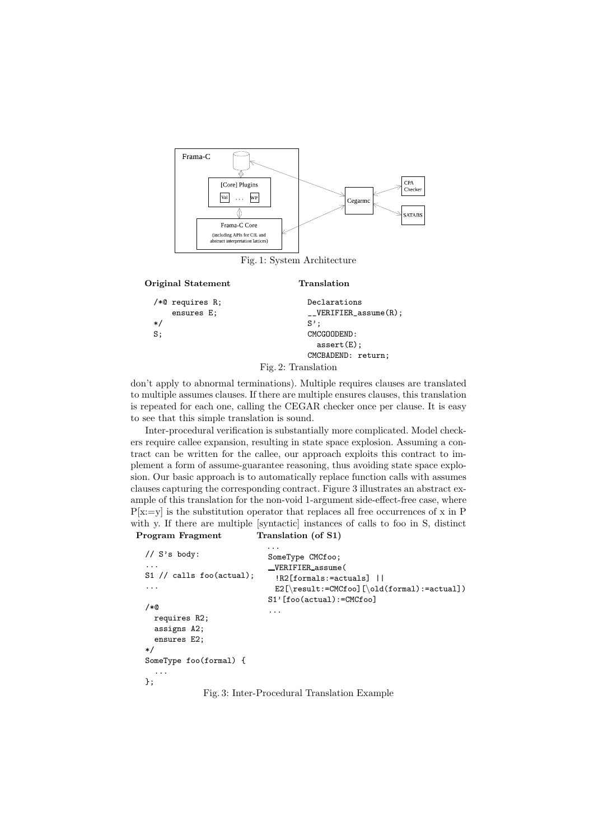

Fig. 1: System Architecture

Translation

```
Original Statement
```

| / $*$ © requires R; | ensures E; |               | Declarations<br>$_L$ VERIFIER_assume $(R)$ ; |  |
|---------------------|------------|---------------|----------------------------------------------|--|
| $*$                 |            |               | $S'$ :                                       |  |
| S:                  |            | CMCGOODEND:   |                                              |  |
|                     |            | $assert(E)$ ; |                                              |  |
|                     |            |               | CMCBADEND: return;                           |  |
| Fig. 2: Translation |            |               |                                              |  |

don't apply to abnormal terminations). Multiple requires clauses are translated to multiple assumes clauses. If there are multiple ensures clauses, this translation is repeated for each one, calling the CEGAR checker once per clause. It is easy to see that this simple translation is sound.

Inter-procedural verification is substantially more complicated. Model checkers require callee expansion, resulting in state space explosion. Assuming a contract can be written for the callee, our approach exploits this contract to implement a form of assume-guarantee reasoning, thus avoiding state space explosion. Our basic approach is to automatically replace function calls with assumes clauses capturing the corresponding contract. Figure 3 illustrates an abstract example of this translation for the non-void 1-argument side-effect-free case, where  $P[x:=y]$  is the substitution operator that replaces all free occurrences of x in P with y. If there are multiple [syntactic] instances of calls to foo in S, distinct Translation (of S1)

Program Fragment

```
// S's body:
...
S1 // calls foo(actual);
...
/*@
  requires R2;
  assigns A2;
  ensures E2;
*/
SomeType foo(formal) {
  ...
};
                            ...
                            SomeType CMCfoo;
                            VERIFIER assume(
                              !R2[formals:=actuals] ||
                              E2[\result:=CMCfoo][\old(formal):=actual])
                            S1'[foo(actual):=CMCfoo]
                             ...
```
Fig. 3: Inter-Procedural Translation Example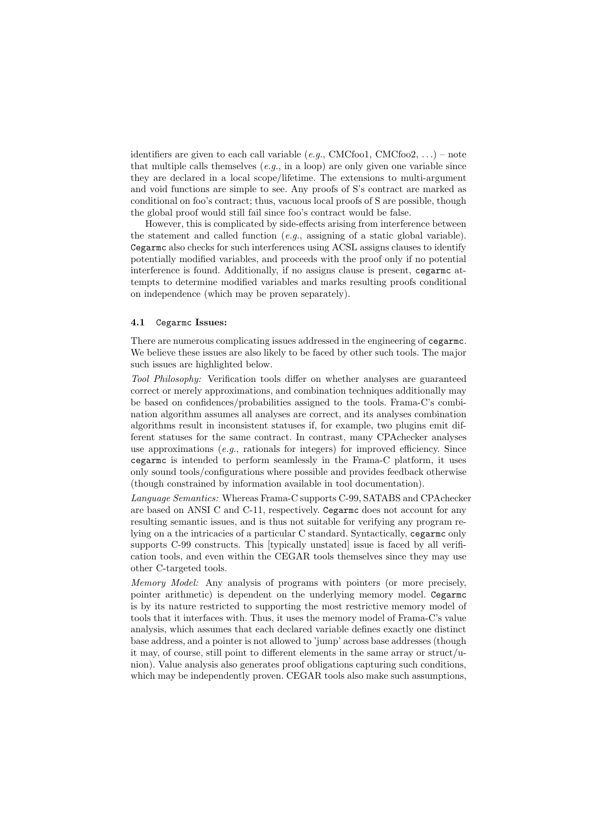identifiers are given to each call variable (e.g., CMCfoo1, CMCfoo2, ...) – note that multiple calls themselves  $(e, q, \text{in a loop})$  are only given one variable since they are declared in a local scope/lifetime. The extensions to multi-argument and void functions are simple to see. Any proofs of S's contract are marked as conditional on foo's contract; thus, vacuous local proofs of S are possible, though the global proof would still fail since foo's contract would be false.

However, this is complicated by side-effects arising from interference between the statement and called function (e.g., assigning of a static global variable). Cegarmc also checks for such interferences using ACSL assigns clauses to identify potentially modified variables, and proceeds with the proof only if no potential interference is found. Additionally, if no assigns clause is present, cegarmc attempts to determine modified variables and marks resulting proofs conditional on independence (which may be proven separately).

#### 4.1 Cegarmc Issues:

There are numerous complicating issues addressed in the engineering of cegarmc. We believe these issues are also likely to be faced by other such tools. The major such issues are highlighted below.

Tool Philosophy: Verification tools differ on whether analyses are guaranteed correct or merely approximations, and combination techniques additionally may be based on confidences/probabilities assigned to the tools. Frama-C's combination algorithm assumes all analyses are correct, and its analyses combination algorithms result in inconsistent statuses if, for example, two plugins emit different statuses for the same contract. In contrast, many CPAchecker analyses use approximations  $(e.g.,$  rationals for integers) for improved efficiency. Since cegarmc is intended to perform seamlessly in the Frama-C platform, it uses only sound tools/configurations where possible and provides feedback otherwise (though constrained by information available in tool documentation).

Language Semantics: Whereas Frama-C supports C-99, SATABS and CPAchecker are based on ANSI C and C-11, respectively. Cegarmc does not account for any resulting semantic issues, and is thus not suitable for verifying any program relying on a the intricacies of a particular C standard. Syntactically, cegarmc only supports C-99 constructs. This [typically unstated] issue is faced by all verification tools, and even within the CEGAR tools themselves since they may use other C-targeted tools.

Memory Model: Any analysis of programs with pointers (or more precisely, pointer arithmetic) is dependent on the underlying memory model. Cegarmc is by its nature restricted to supporting the most restrictive memory model of tools that it interfaces with. Thus, it uses the memory model of Frama-C's value analysis, which assumes that each declared variable defines exactly one distinct base address, and a pointer is not allowed to 'jump' across base addresses (though it may, of course, still point to different elements in the same array or struct/union). Value analysis also generates proof obligations capturing such conditions, which may be independently proven. CEGAR tools also make such assumptions,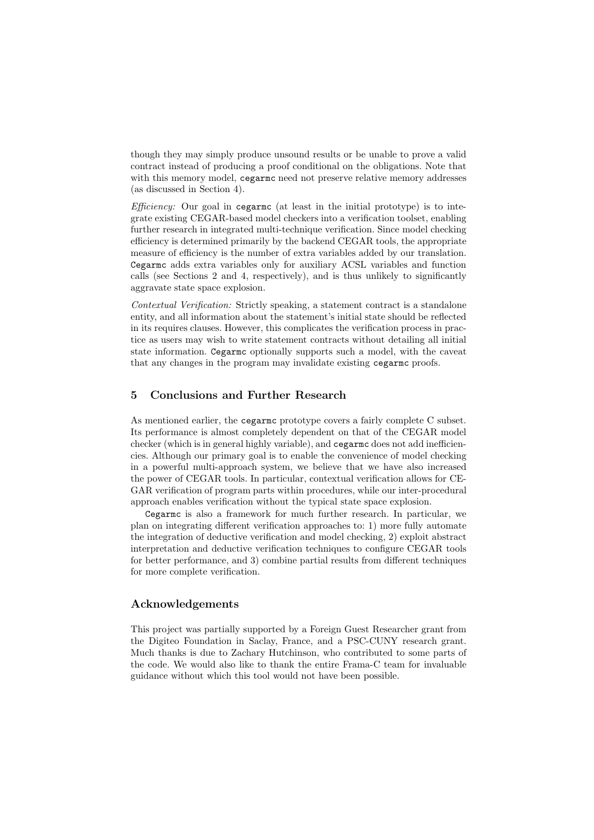though they may simply produce unsound results or be unable to prove a valid contract instead of producing a proof conditional on the obligations. Note that with this memory model, cegarmc need not preserve relative memory addresses (as discussed in Section 4).

*Efficiency:* Our goal in cegarmc (at least in the initial prototype) is to integrate existing CEGAR-based model checkers into a verification toolset, enabling further research in integrated multi-technique verification. Since model checking efficiency is determined primarily by the backend CEGAR tools, the appropriate measure of efficiency is the number of extra variables added by our translation. Cegarmc adds extra variables only for auxiliary ACSL variables and function calls (see Sections 2 and 4, respectively), and is thus unlikely to significantly aggravate state space explosion.

Contextual Verification: Strictly speaking, a statement contract is a standalone entity, and all information about the statement's initial state should be reflected in its requires clauses. However, this complicates the verification process in practice as users may wish to write statement contracts without detailing all initial state information. Cegarmc optionally supports such a model, with the caveat that any changes in the program may invalidate existing cegarmc proofs.

## 5 Conclusions and Further Research

As mentioned earlier, the cegarmc prototype covers a fairly complete C subset. Its performance is almost completely dependent on that of the CEGAR model checker (which is in general highly variable), and cegarmc does not add inefficiencies. Although our primary goal is to enable the convenience of model checking in a powerful multi-approach system, we believe that we have also increased the power of CEGAR tools. In particular, contextual verification allows for CE-GAR verification of program parts within procedures, while our inter-procedural approach enables verification without the typical state space explosion.

Cegarmc is also a framework for much further research. In particular, we plan on integrating different verification approaches to: 1) more fully automate the integration of deductive verification and model checking, 2) exploit abstract interpretation and deductive verification techniques to configure CEGAR tools for better performance, and 3) combine partial results from different techniques for more complete verification.

#### Acknowledgements

This project was partially supported by a Foreign Guest Researcher grant from the Digiteo Foundation in Saclay, France, and a PSC-CUNY research grant. Much thanks is due to Zachary Hutchinson, who contributed to some parts of the code. We would also like to thank the entire Frama-C team for invaluable guidance without which this tool would not have been possible.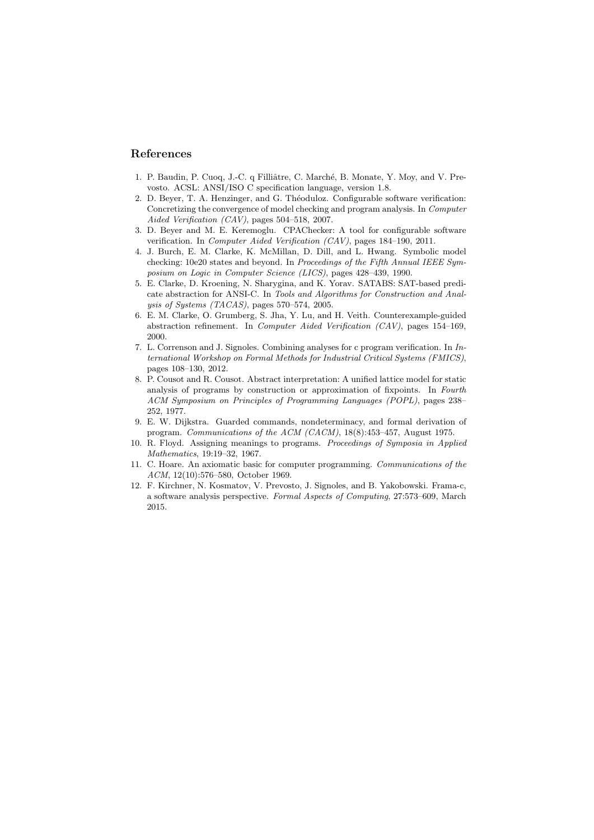#### References

- 1. P. Baudin, P. Cuoq, J.-C. q Filliâtre, C. Marché, B. Monate, Y. Moy, and V. Prevosto. ACSL: ANSI/ISO C specification language, version 1.8.
- 2. D. Beyer, T. A. Henzinger, and G. Théoduloz. Configurable software verification: Concretizing the convergence of model checking and program analysis. In Computer Aided Verification (CAV), pages 504–518, 2007.
- 3. D. Beyer and M. E. Keremoglu. CPAChecker: A tool for configurable software verification. In Computer Aided Verification (CAV), pages 184–190, 2011.
- 4. J. Burch, E. M. Clarke, K. McMillan, D. Dill, and L. Hwang. Symbolic model checking: 10e20 states and beyond. In Proceedings of the Fifth Annual IEEE Symposium on Logic in Computer Science (LICS), pages 428–439, 1990.
- 5. E. Clarke, D. Kroening, N. Sharygina, and K. Yorav. SATABS: SAT-based predicate abstraction for ANSI-C. In Tools and Algorithms for Construction and Analysis of Systems (TACAS), pages 570–574, 2005.
- 6. E. M. Clarke, O. Grumberg, S. Jha, Y. Lu, and H. Veith. Counterexample-guided abstraction refinement. In Computer Aided Verification (CAV), pages 154–169, 2000.
- 7. L. Correnson and J. Signoles. Combining analyses for c program verification. In International Workshop on Formal Methods for Industrial Critical Systems (FMICS), pages 108–130, 2012.
- 8. P. Cousot and R. Cousot. Abstract interpretation: A unified lattice model for static analysis of programs by construction or approximation of fixpoints. In Fourth ACM Symposium on Principles of Programming Languages (POPL), pages 238– 252, 1977.
- 9. E. W. Dijkstra. Guarded commands, nondeterminacy, and formal derivation of program. Communications of the ACM (CACM), 18(8):453–457, August 1975.
- 10. R. Floyd. Assigning meanings to programs. Proceedings of Symposia in Applied Mathematics, 19:19–32, 1967.
- 11. C. Hoare. An axiomatic basic for computer programming. Communications of the ACM, 12(10):576–580, October 1969.
- 12. F. Kirchner, N. Kosmatov, V. Prevosto, J. Signoles, and B. Yakobowski. Frama-c, a software analysis perspective. Formal Aspects of Computing, 27:573–609, March 2015.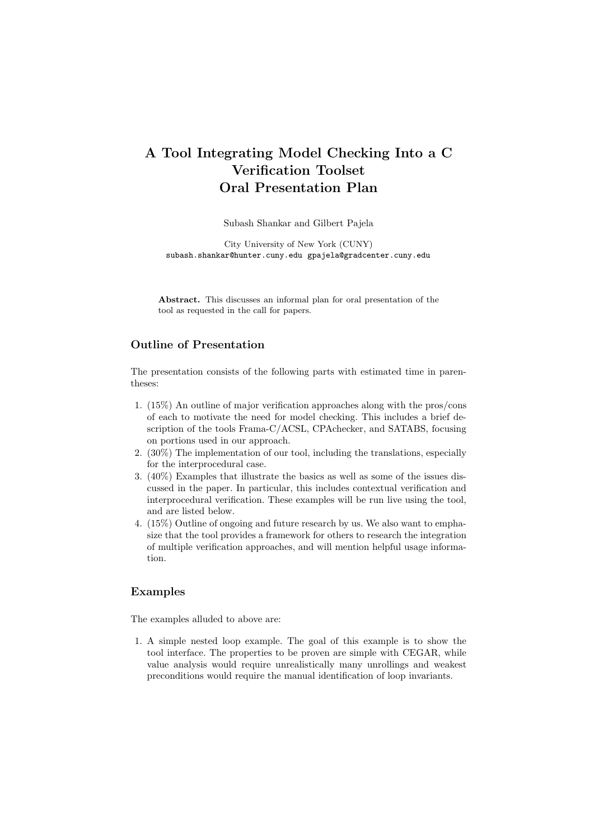# A Tool Integrating Model Checking Into a C Verification Toolset Oral Presentation Plan

Subash Shankar and Gilbert Pajela

City University of New York (CUNY) subash.shankar@hunter.cuny.edu gpajela@gradcenter.cuny.edu

Abstract. This discusses an informal plan for oral presentation of the tool as requested in the call for papers.

## Outline of Presentation

The presentation consists of the following parts with estimated time in parentheses:

- 1. (15%) An outline of major verification approaches along with the pros/cons of each to motivate the need for model checking. This includes a brief description of the tools Frama-C/ACSL, CPAchecker, and SATABS, focusing on portions used in our approach.
- 2. (30%) The implementation of our tool, including the translations, especially for the interprocedural case.
- 3. (40%) Examples that illustrate the basics as well as some of the issues discussed in the paper. In particular, this includes contextual verification and interprocedural verification. These examples will be run live using the tool, and are listed below.
- 4. (15%) Outline of ongoing and future research by us. We also want to emphasize that the tool provides a framework for others to research the integration of multiple verification approaches, and will mention helpful usage information.

### Examples

The examples alluded to above are:

1. A simple nested loop example. The goal of this example is to show the tool interface. The properties to be proven are simple with CEGAR, while value analysis would require unrealistically many unrollings and weakest preconditions would require the manual identification of loop invariants.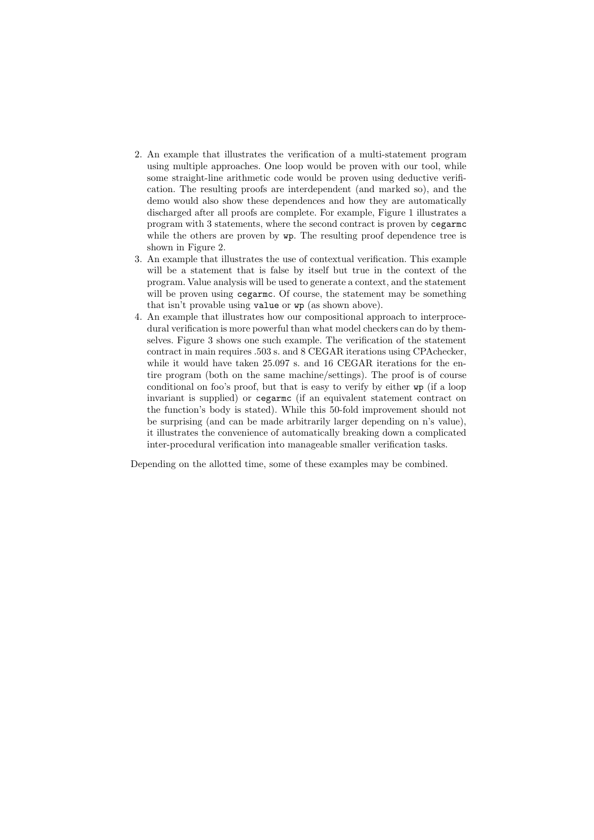- 2. An example that illustrates the verification of a multi-statement program using multiple approaches. One loop would be proven with our tool, while some straight-line arithmetic code would be proven using deductive verification. The resulting proofs are interdependent (and marked so), and the demo would also show these dependences and how they are automatically discharged after all proofs are complete. For example, Figure 1 illustrates a program with 3 statements, where the second contract is proven by cegarmc while the others are proven by  $wp$ . The resulting proof dependence tree is shown in Figure 2.
- 3. An example that illustrates the use of contextual verification. This example will be a statement that is false by itself but true in the context of the program. Value analysis will be used to generate a context, and the statement will be proven using cegarmc. Of course, the statement may be something that isn't provable using value or wp (as shown above).
- 4. An example that illustrates how our compositional approach to interprocedural verification is more powerful than what model checkers can do by themselves. Figure 3 shows one such example. The verification of the statement contract in main requires .503 s. and 8 CEGAR iterations using CPAchecker, while it would have taken 25.097 s. and 16 CEGAR iterations for the entire program (both on the same machine/settings). The proof is of course conditional on foo's proof, but that is easy to verify by either wp (if a loop invariant is supplied) or cegarmc (if an equivalent statement contract on the function's body is stated). While this 50-fold improvement should not be surprising (and can be made arbitrarily larger depending on n's value), it illustrates the convenience of automatically breaking down a complicated inter-procedural verification into manageable smaller verification tasks.

Depending on the allotted time, some of these examples may be combined.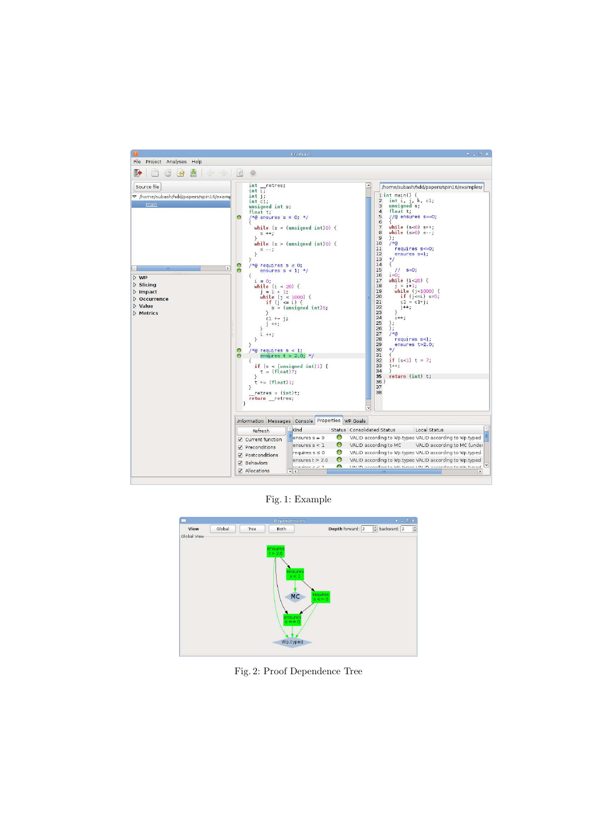

Fig. 1: Example

|                     |        |      | Dependencies                                                    |                     | $\Phi \; = \; \Box \; \; \mathbf{X}$   |
|---------------------|--------|------|-----------------------------------------------------------------|---------------------|----------------------------------------|
| View<br>Global View | Global | Tree | Both                                                            | Depth forward: 2    | $\hat{z}$ backward: 2<br>$\hat{\cdot}$ |
|                     |        |      | $\begin{array}{c} \text{ensures} \\ \text{t} > 2.0 \end{array}$ |                     |                                        |
|                     |        |      |                                                                 |                     |                                        |
|                     |        |      | ensures<br>s < 1                                                |                     |                                        |
|                     |        |      |                                                                 |                     |                                        |
|                     |        |      | <b>MC</b>                                                       | requires<br>$s < 0$ |                                        |
|                     |        |      | ensures<br>$s == 0$                                             |                     |                                        |
|                     |        |      |                                                                 |                     |                                        |
|                     |        |      | Wp.typed                                                        |                     |                                        |
|                     |        |      |                                                                 |                     |                                        |

Fig. 2: Proof Dependence Tree